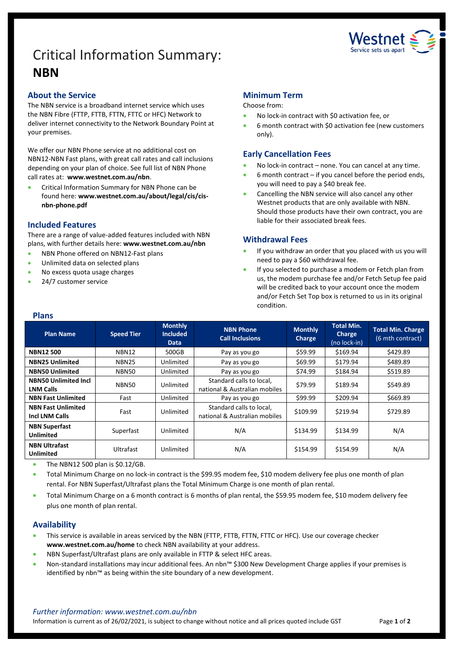# Critical Information Summary: **NBN**



## **About the Service**

The NBN service is a broadband internet service which uses the NBN Fibre (FTTP, FTTB, FTTN, FTTC or HFC) Network to deliver internet connectivity to the Network Boundary Point at your premises.

We offer our NBN Phone service at no additional cost on NBN12-NBN Fast plans, with great call rates and call inclusions depending on your plan of choice. See full list of NBN Phone call rates at: **www.westnet.com.au/nbn**.

• Critical Information Summary for NBN Phone can be found here: **www.westnet.com.au/about/legal/cis/cisnbn-phone.pdf**

# **Included Features**

There are a range of value-added features included with NBN plans, with further details here: **www.westnet.com.au/nbn**

- NBN Phone offered on NBN12-Fast plans
- Unlimited data on selected plans
- No excess quota usage charges
- 24/7 customer service

# **Minimum Term**

Choose from:

- No lock-in contract with \$0 activation fee, or
- 6 month contract with \$0 activation fee (new customers only).

# **Early Cancellation Fees**

- No lock-in contract none. You can cancel at any time.
- $6$  month contract if you cancel before the period ends, you will need to pay a \$40 break fee.
- Cancelling the NBN service will also cancel any other Westnet products that are only available with NBN. Should those products have their own contract, you are liable for their associated break fees.

## **Withdrawal Fees**

- If you withdraw an order that you placed with us you will need to pay a \$60 withdrawal fee.
- If you selected to purchase a modem or Fetch plan from us, the modem purchase fee and/or Fetch Setup fee paid will be credited back to your account once the modem and/or Fetch Set Top box is returned to us in its original condition.

#### **Plans**

| <b>Plan Name</b>                                   | <b>Speed Tier</b> | <b>Monthly</b><br><b>Included</b><br>Data | <b>NBN Phone</b><br><b>Call Inclusions</b>                | <b>Monthly</b><br>Charge | <b>Total Min.</b><br><b>Charge</b><br>(no lock-in) | <b>Total Min. Charge</b><br>(6 mth contract) |
|----------------------------------------------------|-------------------|-------------------------------------------|-----------------------------------------------------------|--------------------------|----------------------------------------------------|----------------------------------------------|
| <b>NBN12500</b>                                    | <b>NBN12</b>      | 500GB                                     | Pay as you go                                             | \$59.99                  | \$169.94                                           | \$429.89                                     |
| <b>NBN25 Unlimited</b>                             | NBN <sub>25</sub> | Unlimited                                 | Pay as you go                                             | \$69.99                  | \$179.94                                           | \$489.89                                     |
| <b>NBN50 Unlimited</b>                             | NBN50             | Unlimited                                 | Pay as you go                                             | \$74.99                  | \$184.94                                           | \$519.89                                     |
| <b>NBN50 Unlimited Incl</b><br><b>LNM Calls</b>    | <b>NBN50</b>      | Unlimited                                 | Standard calls to local,<br>national & Australian mobiles | \$79.99                  | \$189.94                                           | \$549.89                                     |
| <b>NBN Fast Unlimited</b>                          | Fast              | Unlimited                                 | Pay as you go                                             | \$99.99                  | \$209.94                                           | \$669.89                                     |
| <b>NBN Fast Unlimited</b><br><b>Incl LNM Calls</b> | Fast              | Unlimited                                 | Standard calls to local,<br>national & Australian mobiles | \$109.99                 | \$219.94                                           | \$729.89                                     |
| <b>NBN Superfast</b><br>Unlimited                  | Superfast         | Unlimited                                 | N/A                                                       | \$134.99                 | \$134.99                                           | N/A                                          |
| <b>NBN Ultrafast</b><br><b>Unlimited</b>           | Ultrafast         | Unlimited                                 | N/A                                                       | \$154.99                 | \$154.99                                           | N/A                                          |

• The NBN12 500 plan is \$0.12/GB.

• Total Minimum Charge on no lock-in contract is the \$99.95 modem fee, \$10 modem delivery fee plus one month of plan rental. For NBN Superfast/Ultrafast plans the Total Minimum Charge is one month of plan rental.

• Total Minimum Charge on a 6 month contract is 6 months of plan rental, the \$59.95 modem fee, \$10 modem delivery fee plus one month of plan rental.

## **Availability**

- This service is available in areas serviced by the NBN (FTTP, FTTB, FTTN, FTTC or HFC). Use ou[r coverage checker](https://www.westnet.com.au/internet-products/broadband/nbn/coverage/) **[www.westnet.com.au/home](http://www.westnet.com.au/home)** to check NBN availability at your address.
- NBN Superfast/Ultrafast plans are only available in FTTP & select HFC areas.
- Non-standard installations may incur additional fees. An nbn™ \$300 New Development Charge applies if your premises is identified by nbn™ as being within the site boundary of a new development.

Information is current as of 26/02/2021, is subject to change without notice and all prices quoted include GST Page **1** of **2**